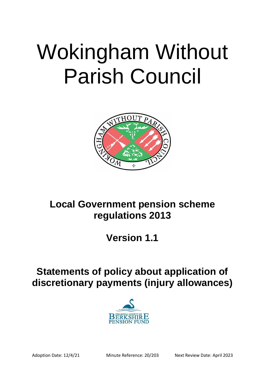# Wokingham Without Parish Council



## **Local Government pension scheme regulations 2013**

**Version 1.1**

# **Statements of policy about application of discretionary payments (injury allowances)**

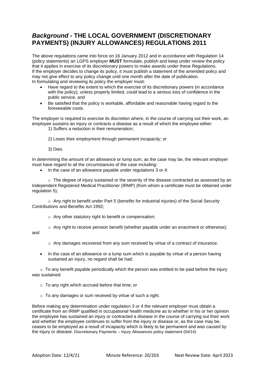## *Background -* **THE LOCAL GOVERNMENT (DISCRETIONARY PAYMENTS) (INJURY ALLOWANCES) REGULATIONS 2011**

The above regulations came into force on 16 January 2012 and in accordance with Regulation 14 (policy statements) an LGPS employer **MUST** formulate, publish and keep under review the policy that it applies in exercise of its discretionary powers to make awards under these Regulations. If the employer decides to change its policy, it must publish a statement of the amended policy and may not give effect to any policy change until one month after the date of publication. In formulating and reviewing its policy the employer must:

- Have regard to the extent to which the exercise of its discretionary powers (in accordance with the policy), unless properly limited, could lead to a serious loss of confidence in the public service, and
- Be satisfied that the policy is workable, affordable and reasonable having regard to the foreseeable costs.

The employer is required to exercise its discretion where, in the course of carrying out their work, an employee sustains an injury or contracts a disease as a result of which the employee either:

1) Suffers a reduction in their remuneration;

2) Loses their employment through permanent incapacity; or

3) Dies.

In determining the amount of an allowance or lump sum, as the case may be, the relevant employer must have regard to all the circumstances of the case including:

• In the case of an allowance payable under regulations 3 or 4:

o The degree of injury sustained or the severity of the disease contracted as assessed by an Independent Registered Medical Practitioner (IRMP) (from whom a certificate must be obtained under regulation 5);

 $\circ$  Any right to benefit under Part 5 (benefits for industrial injuries) of the Social Security Contributions and Benefits Act 1992;

o Any other statutory right to benefit or compensation;

 $\circ$  Any right to receive pension benefit (whether payable under an enactment or otherwise);

and

 $\circ$  Any damages recovered from any sum received by virtue of a contract of insurance.

• In the case of an allowance or a lump sum which is payable by virtue of a person having sustained an injury, no regard shall be had:

 $\circ$  To any benefit payable periodically which the person was entitled to be paid before the injury was sustained;

- $\circ$  To any right which accrued before that time; or
- $\circ$  To any damages or sum received by virtue of such a right.

Before making any determination under regulation 3 or 4 the relevant employer must obtain a certificate from an IRMP qualified in occupational health medicine as to whether in his or her opinion the employee has sustained an injury or contracted a disease in the course of carrying out their work and whether the employee continues to suffer from the injury or disease or, as the case may be, ceases to be employed as a result of incapacity which is likely to be permanent and was caused by the injury or disease. Discretionary Payments – Injury Allowances policy statement (04/14)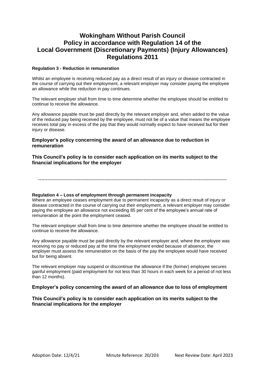### **Wokingham Without Parish Council Policy in accordance with Regulation 14 of the Local Government (Discretionary Payments) (Injury Allowances) Regulations 2011**

#### **Regulation 3 - Reduction in remuneration**

Whilst an employee is receiving reduced pay as a direct result of an injury or disease contracted in the course of carrying out their employment, a relevant employer may consider paying the employee an allowance while the reduction in pay continues.

The relevant employer shall from time to time determine whether the employee should be entitled to continue to receive the allowance.

Any allowance payable must be paid directly by the relevant employer and, when added to the value of the reduced pay being received by the employee, must not be of a value that means the employee receives total pay in excess of the pay that they would normally expect to have received but for their injury or disease.

#### **Employer's policy concerning the award of an allowance due to reduction in remuneration**

**This Council's policy is to consider each application on its merits subject to the financial implications for the employer**

--------------------------------------------------------------------------------------------------------------------

#### **Regulation 4 – Loss of employment through permanent incapacity**

Where an employee ceases employment due to permanent incapacity as a direct result of injury or disease contracted in the course of carrying out their employment, a relevant employer may consider paying the employee an allowance not exceeding 85 per cent of the employee's annual rate of remuneration at the point the employment ceased.

The relevant employer shall from time to time determine whether the employee should be entitled to continue to receive the allowance.

Any allowance payable must be paid directly by the relevant employer and, where the employee was receiving no pay or reduced pay at the time the employment ended because of absence, the employer must assess the remuneration on the basis of the pay the employee would have received but for being absent.

The relevant employer may suspend or discontinue the allowance if the (former) employee secures gainful employment (paid employment for not less than 30 hours in each week for a period of not less than 12 months).

#### **Employer's policy concerning the award of an allowance due to loss of employment**

**This Council's policy is to consider each application on its merits subject to the financial implications for the employer**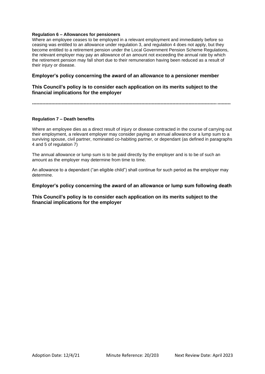#### **Regulation 6 – Allowances for pensioners**

Where an employee ceases to be employed in a relevant employment and immediately before so ceasing was entitled to an allowance under regulation 3, and regulation 4 does not apply, but they become entitled to a retirement pension under the Local Government Pension Scheme Regulations, the relevant employer may pay an allowance of an amount not exceeding the annual rate by which the retirement pension may fall short due to their remuneration having been reduced as a result of their injury or disease.

#### **Employer's policy concerning the award of an allowance to a pensioner member**

#### **This Council's policy is to consider each application on its merits subject to the financial implications for the employer**

**--------------------------------------------------------------------------------------------------------------------------------------**

#### **Regulation 7 – Death benefits**

Where an employee dies as a direct result of injury or disease contracted in the course of carrying out their employment, a relevant employer may consider paying an annual allowance or a lump sum to a surviving spouse, civil partner, nominated co-habiting partner, or dependant (as defined in paragraphs 4 and 5 of regulation 7)

The annual allowance or lump sum is to be paid directly by the employer and is to be of such an amount as the employer may determine from time to time.

An allowance to a dependant ("an eligible child") shall continue for such period as the employer may determine.

#### **Employer's policy concerning the award of an allowance or lump sum following death**

#### **This Council's policy is to consider each application on its merits subject to the financial implications for the employer**